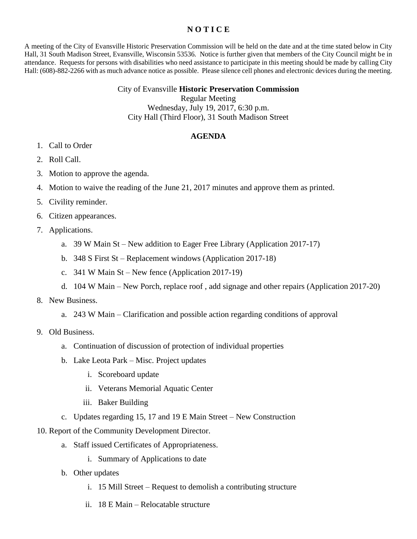## **N O T I C E**

A meeting of the City of Evansville Historic Preservation Commission will be held on the date and at the time stated below in City Hall, 31 South Madison Street, Evansville, Wisconsin 53536. Notice is further given that members of the City Council might be in attendance. Requests for persons with disabilities who need assistance to participate in this meeting should be made by calling City Hall: (608)-882-2266 with as much advance notice as possible. Please silence cell phones and electronic devices during the meeting.

## City of Evansville **Historic Preservation Commission**

Regular Meeting

Wednesday, July 19, 2017, 6:30 p.m. City Hall (Third Floor), 31 South Madison Street

## **AGENDA**

- 1. Call to Order
- 2. Roll Call.
- 3. Motion to approve the agenda.
- 4. Motion to waive the reading of the June 21, 2017 minutes and approve them as printed.
- 5. Civility reminder.
- 6. Citizen appearances.
- 7. Applications.
	- a. 39 W Main St New addition to Eager Free Library (Application 2017-17)
	- b. 348 S First St Replacement windows (Application 2017-18)
	- c. 341 W Main St New fence (Application 2017-19)
	- d. 104 W Main New Porch, replace roof , add signage and other repairs (Application 2017-20)
- 8. New Business.
	- a. 243 W Main Clarification and possible action regarding conditions of approval
- 9. Old Business.
	- a. Continuation of discussion of protection of individual properties
	- b. Lake Leota Park Misc. Project updates
		- i. Scoreboard update
		- ii. Veterans Memorial Aquatic Center
		- iii. Baker Building
	- c. Updates regarding 15, 17 and 19 E Main Street New Construction
- 10. Report of the Community Development Director.
	- a. Staff issued Certificates of Appropriateness.
		- i. Summary of Applications to date
	- b. Other updates
		- i. 15 Mill Street Request to demolish a contributing structure
		- ii. 18 E Main Relocatable structure